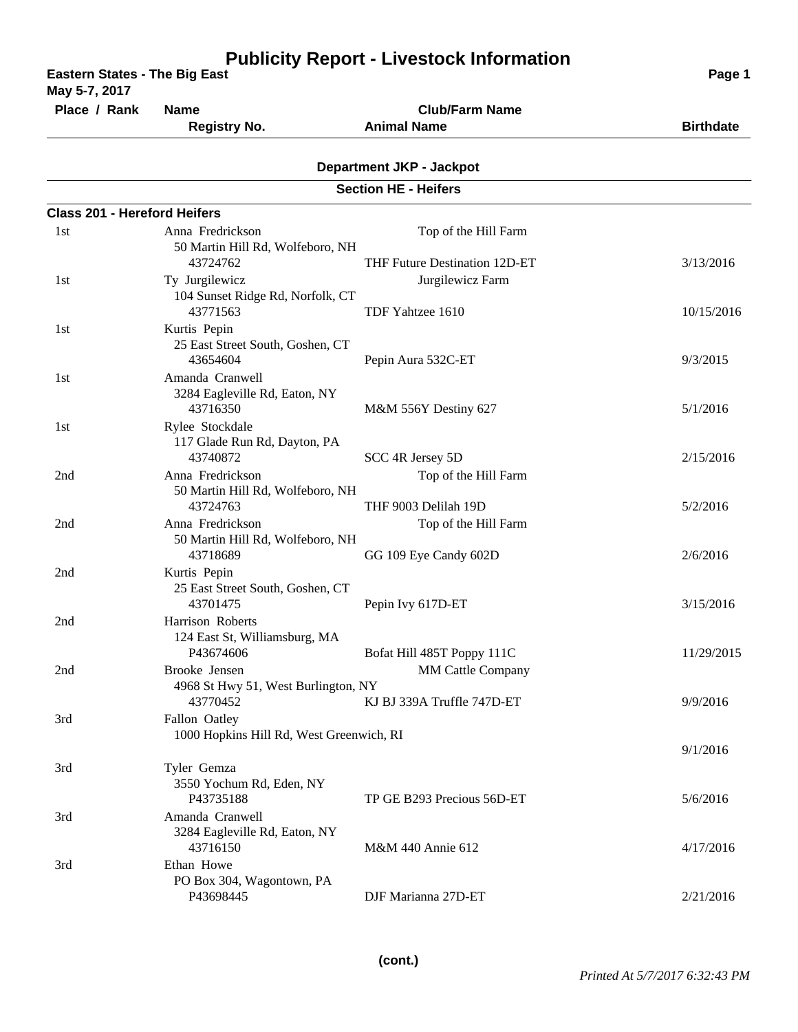| <b>Eastern States - The Big East</b><br>May 5-7, 2017 |                                                                          |                                                        | Page 1                 |
|-------------------------------------------------------|--------------------------------------------------------------------------|--------------------------------------------------------|------------------------|
| Place / Rank                                          | <b>Name</b><br><b>Registry No.</b>                                       | <b>Club/Farm Name</b><br><b>Animal Name</b>            | <b>Birthdate</b>       |
|                                                       |                                                                          | <b>Department JKP - Jackpot</b>                        |                        |
|                                                       |                                                                          | <b>Section HE - Heifers</b>                            |                        |
| <b>Class 201 - Hereford Heifers</b>                   |                                                                          |                                                        |                        |
| 1st                                                   | Anna Fredrickson<br>50 Martin Hill Rd, Wolfeboro, NH                     | Top of the Hill Farm                                   |                        |
| 1st                                                   | 43724762<br>Ty Jurgilewicz<br>104 Sunset Ridge Rd, Norfolk, CT           | THF Future Destination 12D-ET<br>Jurgilewicz Farm      | 3/13/2016              |
| 1st                                                   | 43771563<br>Kurtis Pepin<br>25 East Street South, Goshen, CT<br>43654604 | TDF Yahtzee 1610<br>Pepin Aura 532C-ET                 | 10/15/2016<br>9/3/2015 |
| 1st                                                   | Amanda Cranwell<br>3284 Eagleville Rd, Eaton, NY<br>43716350             | M&M 556Y Destiny 627                                   | 5/1/2016               |
| 1st                                                   | Rylee Stockdale<br>117 Glade Run Rd, Dayton, PA<br>43740872              | SCC 4R Jersey 5D                                       | 2/15/2016              |
| 2nd                                                   | Anna Fredrickson<br>50 Martin Hill Rd, Wolfeboro, NH<br>43724763         | Top of the Hill Farm<br>THF 9003 Delilah 19D           | 5/2/2016               |
| 2nd                                                   | Anna Fredrickson<br>50 Martin Hill Rd, Wolfeboro, NH<br>43718689         | Top of the Hill Farm<br>GG 109 Eye Candy 602D          | 2/6/2016               |
| 2nd                                                   | Kurtis Pepin<br>25 East Street South, Goshen, CT<br>43701475             | Pepin Ivy 617D-ET                                      | 3/15/2016              |
| 2nd                                                   | Harrison Roberts<br>124 East St, Williamsburg, MA<br>P43674606           | Bofat Hill 485T Poppy 111C                             | 11/29/2015             |
| 2nd                                                   | Brooke Jensen<br>4968 St Hwy 51, West Burlington, NY<br>43770452         | <b>MM Cattle Company</b><br>KJ BJ 339A Truffle 747D-ET | 9/9/2016               |
| 3rd                                                   | Fallon Oatley<br>1000 Hopkins Hill Rd, West Greenwich, RI                |                                                        | 9/1/2016               |
| 3rd                                                   | Tyler Gemza<br>3550 Yochum Rd, Eden, NY<br>P43735188                     | TP GE B293 Precious 56D-ET                             | 5/6/2016               |
| 3rd                                                   | Amanda Cranwell<br>3284 Eagleville Rd, Eaton, NY<br>43716150             | M&M 440 Annie 612                                      | 4/17/2016              |
| 3rd                                                   | Ethan Howe<br>PO Box 304, Wagontown, PA<br>P43698445                     | DJF Marianna 27D-ET                                    | 2/21/2016              |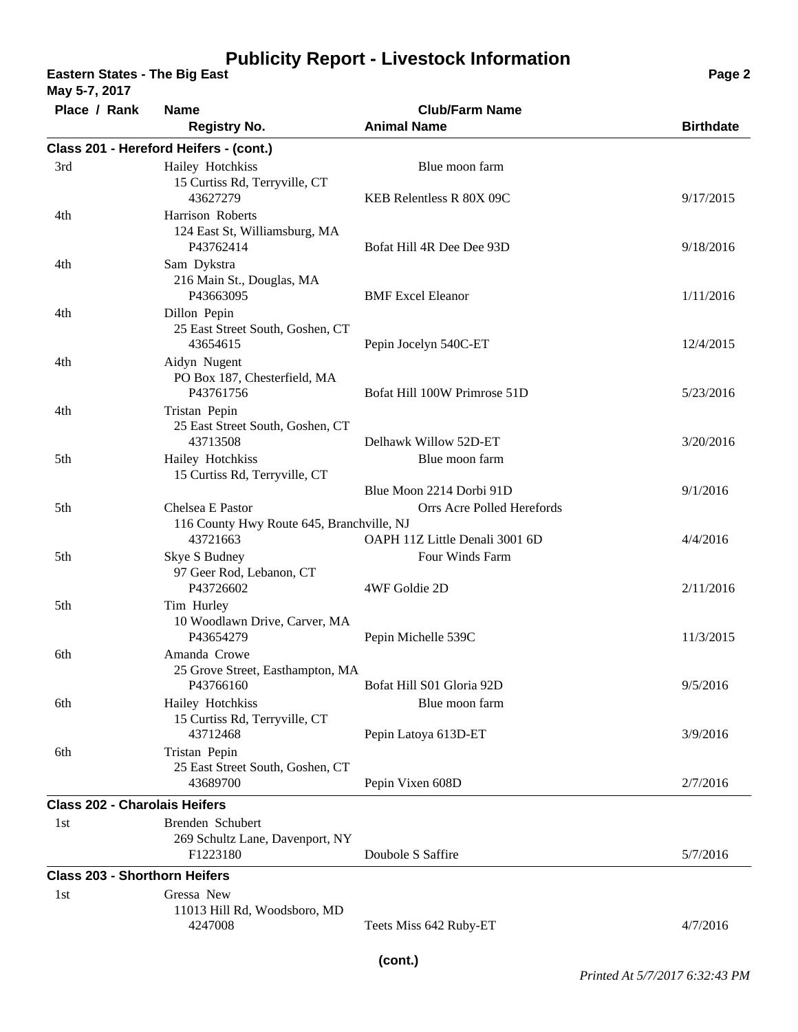**Eastern States - The Big East Page 2**

**May 5-7, 2017**

| Place / Rank                         | <b>Name</b>                                                   | <b>Club/Farm Name</b>                                  |                  |
|--------------------------------------|---------------------------------------------------------------|--------------------------------------------------------|------------------|
|                                      | <b>Registry No.</b>                                           | <b>Animal Name</b>                                     | <b>Birthdate</b> |
|                                      | Class 201 - Hereford Heifers - (cont.)                        |                                                        |                  |
| 3rd                                  | Hailey Hotchkiss<br>15 Curtiss Rd, Terryville, CT             | Blue moon farm                                         |                  |
| 4th                                  | 43627279<br>Harrison Roberts<br>124 East St, Williamsburg, MA | KEB Relentless R 80X 09C                               | 9/17/2015        |
| 4th                                  | P43762414<br>Sam Dykstra                                      | Bofat Hill 4R Dee Dee 93D                              | 9/18/2016        |
|                                      | 216 Main St., Douglas, MA<br>P43663095                        | <b>BMF</b> Excel Eleanor                               | 1/11/2016        |
| 4th                                  | Dillon Pepin<br>25 East Street South, Goshen, CT<br>43654615  | Pepin Jocelyn 540C-ET                                  | 12/4/2015        |
| 4th                                  | Aidyn Nugent<br>PO Box 187, Chesterfield, MA<br>P43761756     | Bofat Hill 100W Primrose 51D                           | 5/23/2016        |
| 4th                                  | Tristan Pepin<br>25 East Street South, Goshen, CT<br>43713508 | Delhawk Willow 52D-ET                                  | 3/20/2016        |
| 5th                                  | Hailey Hotchkiss<br>15 Curtiss Rd, Terryville, CT             | Blue moon farm                                         |                  |
| 5th                                  | Chelsea E Pastor<br>116 County Hwy Route 645, Branchville, NJ | Blue Moon 2214 Dorbi 91D<br>Orrs Acre Polled Herefords | 9/1/2016         |
| 5th                                  | 43721663<br>Skye S Budney                                     | OAPH 11Z Little Denali 3001 6D<br>Four Winds Farm      | 4/4/2016         |
|                                      | 97 Geer Rod, Lebanon, CT<br>P43726602                         | 4WF Goldie 2D                                          | 2/11/2016        |
| 5th                                  | Tim Hurley<br>10 Woodlawn Drive, Carver, MA<br>P43654279      | Pepin Michelle 539C                                    | 11/3/2015        |
| 6th                                  | Amanda Crowe<br>25 Grove Street, Easthampton, MA<br>P43766160 | Bofat Hill S01 Gloria 92D                              | 9/5/2016         |
| 6th                                  | Hailey Hotchkiss<br>15 Curtiss Rd, Terryville, CT<br>43712468 | Blue moon farm<br>Pepin Latoya 613D-ET                 | 3/9/2016         |
| 6th                                  | Tristan Pepin<br>25 East Street South, Goshen, CT<br>43689700 | Pepin Vixen 608D                                       | 2/7/2016         |
| <b>Class 202 - Charolais Heifers</b> |                                                               |                                                        |                  |
| 1st                                  | Brenden Schubert                                              |                                                        |                  |
|                                      | 269 Schultz Lane, Davenport, NY<br>F1223180                   | Doubole S Saffire                                      | 5/7/2016         |
| <b>Class 203 - Shorthorn Heifers</b> |                                                               |                                                        |                  |
| 1st                                  | Gressa New<br>11013 Hill Rd, Woodsboro, MD                    |                                                        |                  |
|                                      | 4247008                                                       | Teets Miss 642 Ruby-ET                                 | 4/7/2016         |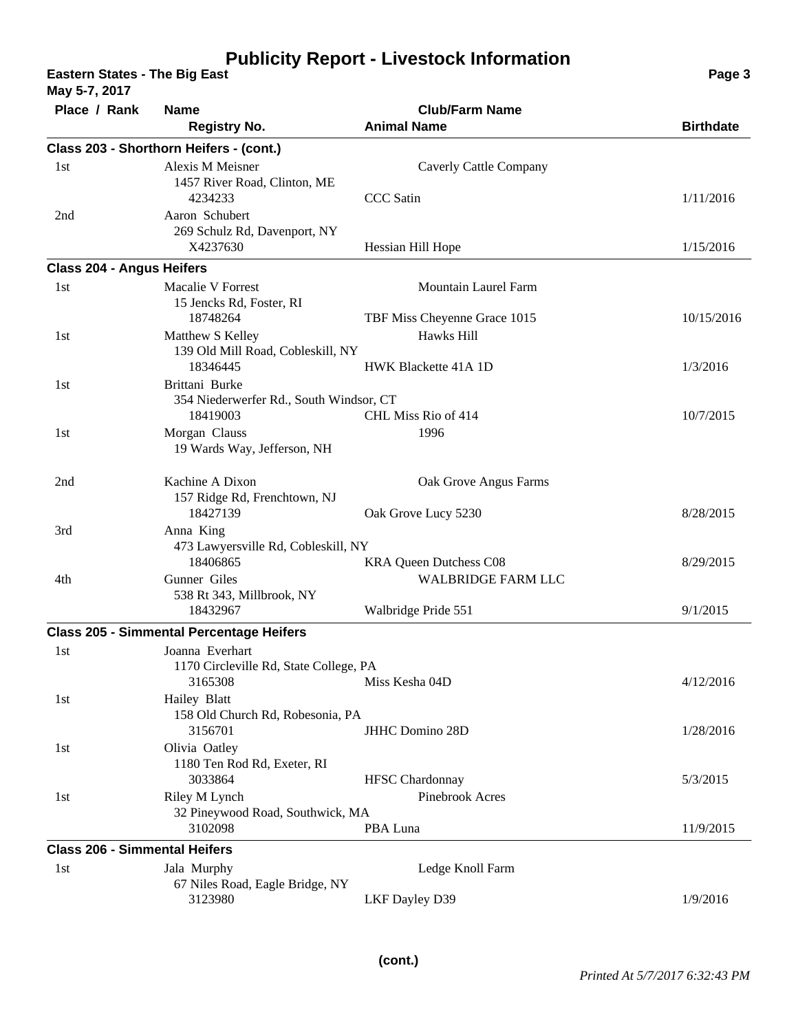**Eastern States - The Big East Page 3**

**Place / Rank Name Club/Farm Name Class 203 - Shorthorn Heifers - (cont.) Registry No. Animal Name Birthdate Birthdate May 5-7, 2017** 1457 River Road, Clinton, ME Alexis M Meisner Caverly Cattle Company 4234233 CCC Satin 1/11/2016 1st 269 Schulz Rd, Davenport, NY Aaron Schubert X4237630 Hessian Hill Hope 1/15/2016 2nd **Class 204 - Angus Heifers** 15 Jencks Rd, Foster, RI Macalie V Forrest Mountain Laurel Farm 18748264 TBF Miss Cheyenne Grace 1015 10/15/2016 1st 139 Old Mill Road, Cobleskill, NY Matthew S Kelley Hawks Hill 18346445 HWK Blackette 41A 1D 1/3/2016 1st 354 Niederwerfer Rd., South Windsor, CT Brittani Burke 18419003 CHL Miss Rio of 414 10/7/2015 1st 19 Wards Way, Jefferson, NH 1st 1996 Morgan Clauss 157 Ridge Rd, Frenchtown, NJ Kachine A Dixon Oak Grove Angus Farms 18427139 Oak Grove Lucy 5230 8/28/2015 2nd 473 Lawyersville Rd, Cobleskill, NY Anna King 18406865 KRA Queen Dutchess C08 8/29/2015 3rd 538 Rt 343, Millbrook, NY Gunner Giles WALBRIDGE FARM LLC 18432967 Walbridge Pride 551 9/1/2015 4th **Class 205 - Simmental Percentage Heifers** 1170 Circleville Rd, State College, PA Joanna Everhart 3165308 Miss Kesha 04D 4/12/2016 1st 158 Old Church Rd, Robesonia, PA Hailey Blatt 3156701 JHHC Domino 28D 1/28/2016 1st 1180 Ten Rod Rd, Exeter, RI Olivia Oatley 3033864 HFSC Chardonnay 5/3/2015 1st 32 Pineywood Road, Southwick, MA Riley M Lynch Pinebrook Acres 3102098 PBA Luna 11/9/2015 1st **Class 206 - Simmental Heifers** 67 Niles Road, Eagle Bridge, NY Jala Murphy Ledge Knoll Farm 3123980 LKF Dayley D39 1/9/2016 1st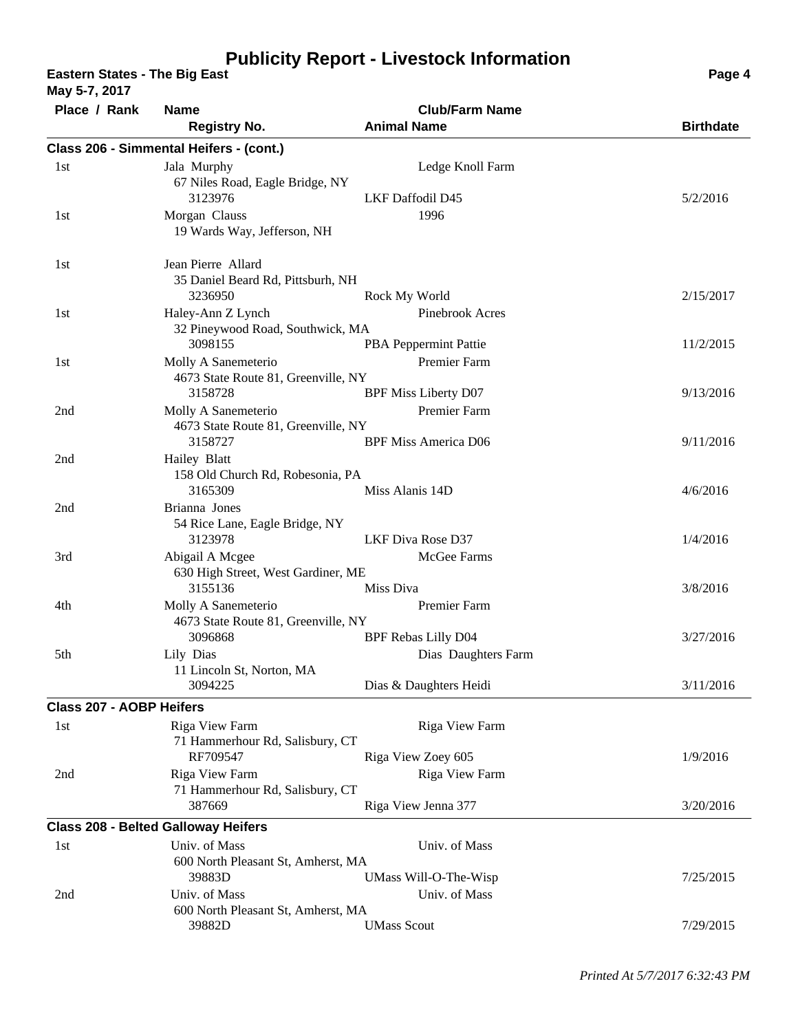**Eastern States - The Big East Page 4 Page 4 Page 4 Page 4 Page 4 Page 4 Page 4 Page 4 Page 4 Page 4** 

**May 5-7, 2017**

**Place / Rank Name Club/Farm Name Class 206 - Simmental Heifers - (cont.) Registry No. Animal Name Birthdate Birthdate** 67 Niles Road, Eagle Bridge, NY Jala Murphy Ledge Knoll Farm 3123976 LKF Daffodil D45 5/2/2016 1st 19 Wards Way, Jefferson, NH 1st Morgan Clauss 1996 35 Daniel Beard Rd, Pittsburh, NH Jean Pierre Allard 3236950 Rock My World 2/15/2017 1st 32 Pineywood Road, Southwick, MA Haley-Ann Z Lynch Pinebrook Acres 3098155 PBA Peppermint Pattie 11/2/2015 1st 4673 State Route 81, Greenville, NY Molly A Sanemeterio Premier Farm 3158728 BPF Miss Liberty D07 9/13/2016 1st 4673 State Route 81, Greenville, NY Molly A Sanemeterio Premier Farm 3158727 BPF Miss America D06 9/11/2016 2nd 158 Old Church Rd, Robesonia, PA Hailey Blatt 3165309 Miss Alanis 14D 4/6/2016 2nd 54 Rice Lane, Eagle Bridge, NY Brianna Jones 3123978 LKF Diva Rose D37 1/4/2016 2nd 630 High Street, West Gardiner, ME Abigail A Mcgee McGee Farms 3155136 Miss Diva 3/8/2016 3rd 4673 State Route 81, Greenville, NY Molly A Sanemeterio Premier Farm 3096868 BPF Rebas Lilly D04 3/27/2016 4th 11 Lincoln St, Norton, MA Lily Dias Daughters Farm 3094225 Dias & Daughters Heidi 3/11/2016 5th **Class 207 - AOBP Heifers** 71 Hammerhour Rd, Salisbury, CT Riga View Farm Riga View Farm RF709547 Riga View Zoey 605 1/9/2016 1st 71 Hammerhour Rd, Salisbury, CT Riga View Farm Riga View Farm 387669 Riga View Jenna 377 3/20/2016 2nd **Class 208 - Belted Galloway Heifers** 600 North Pleasant St, Amherst, MA Univ. of Mass Univ. of Mass 39883D UMass Will-O-The-Wisp 7/25/2015 1st 600 North Pleasant St, Amherst, MA Univ. of Mass Univ. of Mass 39882D UMass Scout 7/29/2015 2nd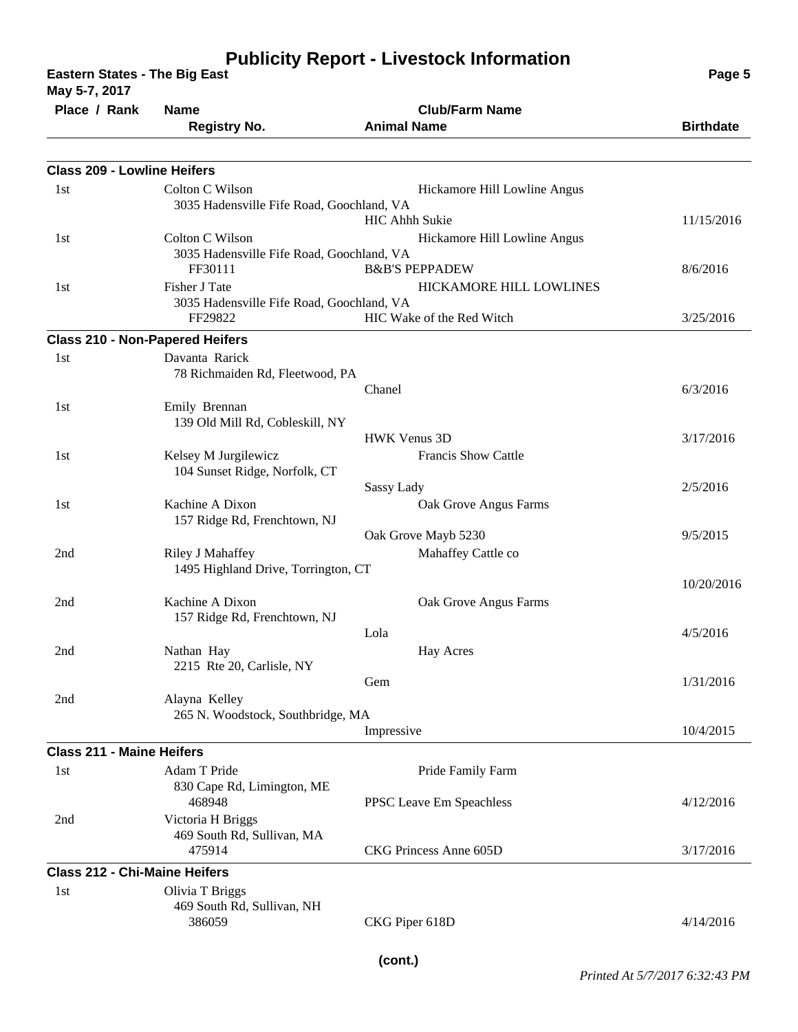**Eastern States - The Big East Page 5**

| May 5-7, 2017                          |                                                       |                              |                  |
|----------------------------------------|-------------------------------------------------------|------------------------------|------------------|
| Place / Rank                           | <b>Name</b>                                           | <b>Club/Farm Name</b>        |                  |
|                                        | <b>Registry No.</b>                                   | <b>Animal Name</b>           | <b>Birthdate</b> |
|                                        |                                                       |                              |                  |
| <b>Class 209 - Lowline Heifers</b>     |                                                       |                              |                  |
| 1st                                    | Colton C Wilson                                       | Hickamore Hill Lowline Angus |                  |
|                                        | 3035 Hadensville Fife Road, Goochland, VA             | HIC Ahhh Sukie               | 11/15/2016       |
| 1st                                    | Colton C Wilson                                       | Hickamore Hill Lowline Angus |                  |
|                                        | 3035 Hadensville Fife Road, Goochland, VA             |                              |                  |
|                                        | FF30111                                               | <b>B&amp;B'S PEPPADEW</b>    | 8/6/2016         |
| 1st                                    | Fisher J Tate                                         | HICKAMORE HILL LOWLINES      |                  |
|                                        | 3035 Hadensville Fife Road, Goochland, VA             |                              |                  |
|                                        | FF29822                                               | 3/25/2016                    |                  |
| <b>Class 210 - Non-Papered Heifers</b> |                                                       |                              |                  |
| 1st                                    | Davanta Rarick                                        |                              |                  |
|                                        | 78 Richmaiden Rd, Fleetwood, PA                       |                              |                  |
|                                        |                                                       | Chanel                       | 6/3/2016         |
| 1st                                    | Emily Brennan                                         |                              |                  |
|                                        | 139 Old Mill Rd, Cobleskill, NY                       |                              |                  |
|                                        |                                                       | <b>HWK Venus 3D</b>          | 3/17/2016        |
| 1st                                    | Kelsey M Jurgilewicz<br>104 Sunset Ridge, Norfolk, CT | <b>Francis Show Cattle</b>   |                  |
|                                        |                                                       | Sassy Lady                   | 2/5/2016         |
| 1st                                    | Kachine A Dixon                                       | Oak Grove Angus Farms        |                  |
|                                        | 157 Ridge Rd, Frenchtown, NJ                          |                              |                  |
|                                        |                                                       | Oak Grove Mayb 5230          | 9/5/2015         |
| 2nd                                    | Riley J Mahaffey                                      | Mahaffey Cattle co           |                  |
|                                        | 1495 Highland Drive, Torrington, CT                   |                              |                  |
|                                        |                                                       |                              | 10/20/2016       |
| 2nd                                    | Kachine A Dixon                                       | Oak Grove Angus Farms        |                  |
|                                        | 157 Ridge Rd, Frenchtown, NJ                          |                              |                  |
|                                        |                                                       | Lola                         | 4/5/2016         |
| 2nd                                    | Nathan Hay                                            | <b>Hay Acres</b>             |                  |
|                                        | 2215 Rte 20, Carlisle, NY                             | Gem                          | 1/31/2016        |
| 2nd                                    | Alayna Kelley                                         |                              |                  |
|                                        | 265 N. Woodstock, Southbridge, MA                     |                              |                  |
|                                        |                                                       | Impressive                   | 10/4/2015        |
| <b>Class 211 - Maine Heifers</b>       |                                                       |                              |                  |
| 1st                                    | Adam T Pride                                          | Pride Family Farm            |                  |
|                                        | 830 Cape Rd, Limington, ME                            |                              |                  |
|                                        | 468948                                                | PPSC Leave Em Speachless     | 4/12/2016        |
| 2nd                                    | Victoria H Briggs                                     |                              |                  |
|                                        | 469 South Rd, Sullivan, MA                            |                              |                  |
|                                        | 475914                                                | CKG Princess Anne 605D       | 3/17/2016        |
| <b>Class 212 - Chi-Maine Heifers</b>   |                                                       |                              |                  |
| 1st                                    | Olivia T Briggs                                       |                              |                  |
|                                        | 469 South Rd, Sullivan, NH                            |                              |                  |
|                                        | 386059                                                | CKG Piper 618D               | 4/14/2016        |
|                                        |                                                       |                              |                  |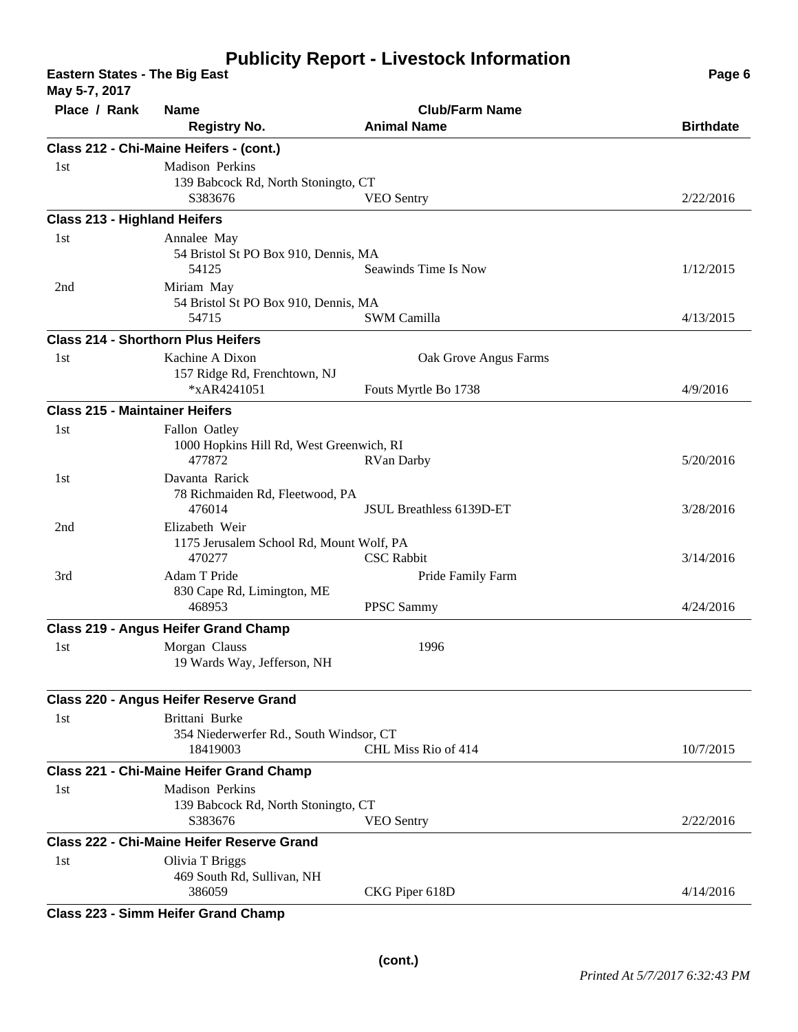**Eastern States - The Big East Page 6 May 5-7, 2017**

| <b>Niay 5-7, 2017</b>                 |                                                     |                          |                  |  |
|---------------------------------------|-----------------------------------------------------|--------------------------|------------------|--|
| Place / Rank                          | <b>Name</b>                                         | <b>Club/Farm Name</b>    |                  |  |
|                                       | <b>Registry No.</b>                                 | <b>Animal Name</b>       | <b>Birthdate</b> |  |
|                                       | Class 212 - Chi-Maine Heifers - (cont.)             |                          |                  |  |
| 1st                                   | Madison Perkins                                     |                          |                  |  |
|                                       | 139 Babcock Rd, North Stoningto, CT                 |                          |                  |  |
|                                       | S383676                                             | <b>VEO</b> Sentry        | 2/22/2016        |  |
| <b>Class 213 - Highland Heifers</b>   |                                                     |                          |                  |  |
| 1st                                   | Annalee May                                         |                          |                  |  |
|                                       | 54 Bristol St PO Box 910, Dennis, MA                |                          |                  |  |
|                                       | 54125                                               | Seawinds Time Is Now     | 1/12/2015        |  |
| 2nd                                   | Miriam May                                          |                          |                  |  |
|                                       | 54 Bristol St PO Box 910, Dennis, MA                |                          |                  |  |
|                                       | 54715                                               | <b>SWM Camilla</b>       | 4/13/2015        |  |
|                                       | <b>Class 214 - Shorthorn Plus Heifers</b>           |                          |                  |  |
| 1st                                   | Kachine A Dixon                                     | Oak Grove Angus Farms    |                  |  |
|                                       | 157 Ridge Rd, Frenchtown, NJ                        |                          |                  |  |
|                                       | *xAR4241051                                         | Fouts Myrtle Bo 1738     | 4/9/2016         |  |
| <b>Class 215 - Maintainer Heifers</b> |                                                     |                          |                  |  |
| 1st                                   | Fallon Oatley                                       |                          |                  |  |
|                                       | 1000 Hopkins Hill Rd, West Greenwich, RI            |                          |                  |  |
|                                       | 477872                                              | <b>RVan Darby</b>        | 5/20/2016        |  |
| 1st                                   | Davanta Rarick                                      |                          |                  |  |
|                                       | 78 Richmaiden Rd, Fleetwood, PA                     |                          |                  |  |
|                                       | 476014                                              | JSUL Breathless 6139D-ET | 3/28/2016        |  |
| 2nd                                   | Elizabeth Weir                                      |                          |                  |  |
|                                       | 1175 Jerusalem School Rd, Mount Wolf, PA            |                          |                  |  |
|                                       | 470277                                              | <b>CSC</b> Rabbit        | 3/14/2016        |  |
| 3rd                                   | Adam T Pride                                        | Pride Family Farm        |                  |  |
|                                       | 830 Cape Rd, Limington, ME<br>468953                | PPSC Sammy               | 4/24/2016        |  |
|                                       |                                                     |                          |                  |  |
|                                       | <b>Class 219 - Angus Heifer Grand Champ</b>         |                          |                  |  |
| 1st                                   | Morgan Clauss                                       | 1996                     |                  |  |
|                                       | 19 Wards Way, Jefferson, NH                         |                          |                  |  |
|                                       | Class 220 - Angus Heifer Reserve Grand              |                          |                  |  |
|                                       |                                                     |                          |                  |  |
| 1st                                   | Brittani Burke                                      |                          |                  |  |
|                                       | 354 Niederwerfer Rd., South Windsor, CT<br>18419003 | CHL Miss Rio of 414      | 10/7/2015        |  |
|                                       |                                                     |                          |                  |  |
|                                       | Class 221 - Chi-Maine Heifer Grand Champ            |                          |                  |  |
| 1st                                   | Madison Perkins                                     |                          |                  |  |
|                                       | 139 Babcock Rd, North Stoningto, CT                 |                          |                  |  |
|                                       | S383676                                             | <b>VEO</b> Sentry        | 2/22/2016        |  |
|                                       | Class 222 - Chi-Maine Heifer Reserve Grand          |                          |                  |  |
| 1st                                   | Olivia T Briggs                                     |                          |                  |  |
|                                       | 469 South Rd, Sullivan, NH                          |                          |                  |  |
|                                       | 386059                                              | CKG Piper 618D           | 4/14/2016        |  |
| $\sim$                                | $11 - 16 -$<br>$\sim$ Creamal Ch                    |                          |                  |  |

**Class 223 - Simm Heifer Grand Champ**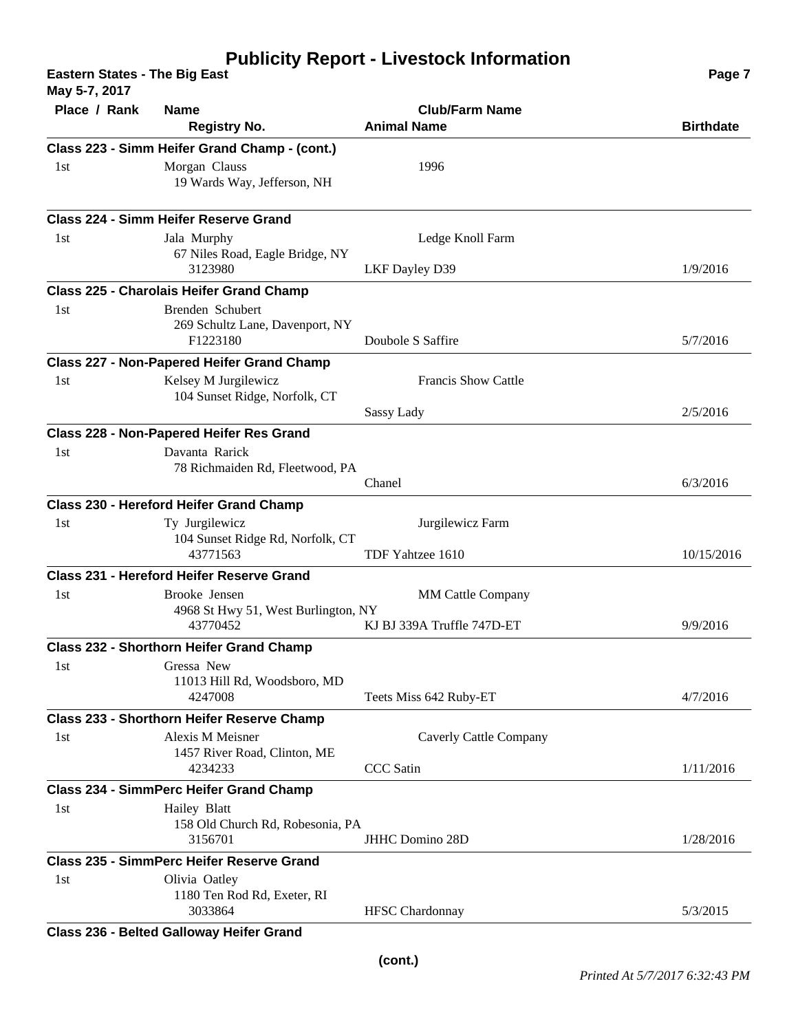**Eastern States - The Big East Page 7 May 5-7, 2017**

| $\mathbf{m}$ ay J- $\mathbf{r}, \mathbf{z}$ U I $\mathbf{r}$ |                                                                                               |                                                        |                  |
|--------------------------------------------------------------|-----------------------------------------------------------------------------------------------|--------------------------------------------------------|------------------|
| Place / Rank                                                 | <b>Name</b><br><b>Registry No.</b>                                                            | <b>Club/Farm Name</b><br><b>Animal Name</b>            | <b>Birthdate</b> |
|                                                              | Class 223 - Simm Heifer Grand Champ - (cont.)                                                 |                                                        |                  |
| 1st                                                          | Morgan Clauss<br>19 Wards Way, Jefferson, NH                                                  | 1996                                                   |                  |
|                                                              | Class 224 - Simm Heifer Reserve Grand                                                         |                                                        |                  |
| 1st                                                          | Jala Murphy<br>67 Niles Road, Eagle Bridge, NY<br>3123980                                     | Ledge Knoll Farm<br>LKF Dayley D39                     | 1/9/2016         |
|                                                              | Class 225 - Charolais Heifer Grand Champ                                                      |                                                        |                  |
| 1st                                                          | Brenden Schubert<br>269 Schultz Lane, Davenport, NY<br>F1223180                               | Doubole S Saffire                                      | 5/7/2016         |
|                                                              | Class 227 - Non-Papered Heifer Grand Champ                                                    |                                                        |                  |
| 1st                                                          | Kelsey M Jurgilewicz<br>104 Sunset Ridge, Norfolk, CT                                         | Francis Show Cattle                                    |                  |
|                                                              |                                                                                               | Sassy Lady                                             | 2/5/2016         |
| 1st                                                          | Class 228 - Non-Papered Heifer Res Grand<br>Davanta Rarick<br>78 Richmaiden Rd, Fleetwood, PA |                                                        |                  |
|                                                              |                                                                                               | Chanel                                                 | 6/3/2016         |
|                                                              | Class 230 - Hereford Heifer Grand Champ                                                       |                                                        |                  |
| 1st                                                          | Ty Jurgilewicz<br>104 Sunset Ridge Rd, Norfolk, CT<br>43771563                                | Jurgilewicz Farm<br>TDF Yahtzee 1610                   | 10/15/2016       |
|                                                              | Class 231 - Hereford Heifer Reserve Grand                                                     |                                                        |                  |
| 1st                                                          | Brooke Jensen<br>4968 St Hwy 51, West Burlington, NY<br>43770452                              | <b>MM Cattle Company</b><br>KJ BJ 339A Truffle 747D-ET | 9/9/2016         |
|                                                              | <b>Class 232 - Shorthorn Heifer Grand Champ</b>                                               |                                                        |                  |
| 1st                                                          | Gressa New<br>11013 Hill Rd, Woodsboro, MD<br>4247008                                         | Teets Miss 642 Ruby-ET                                 | 4/7/2016         |
|                                                              | Class 233 - Shorthorn Heifer Reserve Champ                                                    |                                                        |                  |
| 1st                                                          | <b>Alexis M Meisner</b><br>1457 River Road, Clinton, ME                                       | Caverly Cattle Company                                 |                  |
|                                                              | 4234233                                                                                       | <b>CCC</b> Satin                                       | 1/11/2016        |
|                                                              | <b>Class 234 - SimmPerc Heifer Grand Champ</b>                                                |                                                        |                  |
| 1st                                                          | Hailey Blatt<br>158 Old Church Rd, Robesonia, PA<br>3156701                                   | <b>JHHC Domino 28D</b>                                 | 1/28/2016        |
|                                                              | <b>Class 235 - SimmPerc Heifer Reserve Grand</b>                                              |                                                        |                  |
| 1st                                                          | Olivia Oatley<br>1180 Ten Rod Rd, Exeter, RI<br>3033864                                       | <b>HFSC</b> Chardonnay                                 | 5/3/2015         |
|                                                              |                                                                                               |                                                        |                  |

**Class 236 - Belted Galloway Heifer Grand**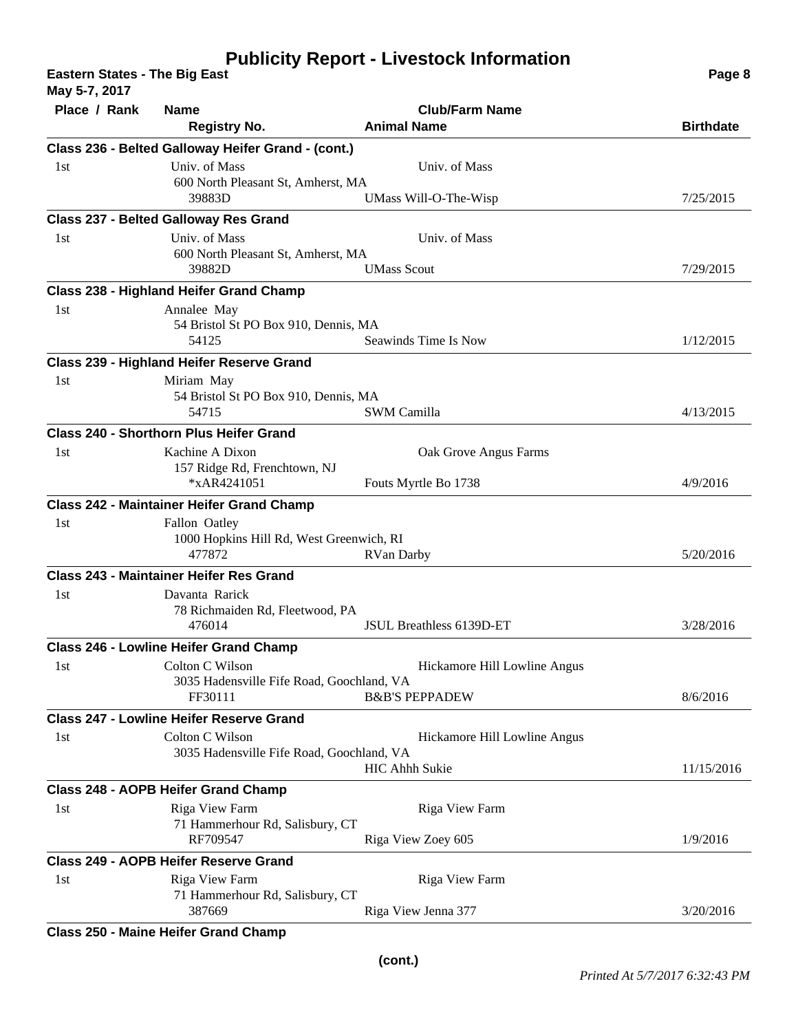**Eastern States - The Big East Page 8 May 5-7, 2017**

| $Nay 5 - 7, 2017$ |                                                    |                              |                  |
|-------------------|----------------------------------------------------|------------------------------|------------------|
| Place / Rank      | Name                                               | <b>Club/Farm Name</b>        |                  |
|                   | <b>Registry No.</b>                                | <b>Animal Name</b>           | <b>Birthdate</b> |
|                   | Class 236 - Belted Galloway Heifer Grand - (cont.) |                              |                  |
| 1st               | Univ. of Mass                                      | Univ. of Mass                |                  |
|                   | 600 North Pleasant St, Amherst, MA<br>39883D       |                              |                  |
|                   |                                                    | UMass Will-O-The-Wisp        | 7/25/2015        |
|                   | <b>Class 237 - Belted Galloway Res Grand</b>       |                              |                  |
| 1st               | Univ. of Mass                                      | Univ. of Mass                |                  |
|                   | 600 North Pleasant St, Amherst, MA                 |                              |                  |
|                   | 39882D                                             | <b>UMass Scout</b>           | 7/29/2015        |
|                   | <b>Class 238 - Highland Heifer Grand Champ</b>     |                              |                  |
| 1st               | Annalee May                                        |                              |                  |
|                   | 54 Bristol St PO Box 910, Dennis, MA               |                              |                  |
|                   | 54125                                              | Seawinds Time Is Now         | 1/12/2015        |
|                   | <b>Class 239 - Highland Heifer Reserve Grand</b>   |                              |                  |
| 1st               | Miriam May                                         |                              |                  |
|                   | 54 Bristol St PO Box 910, Dennis, MA               |                              |                  |
|                   | 54715                                              | SWM Camilla                  | 4/13/2015        |
|                   | <b>Class 240 - Shorthorn Plus Heifer Grand</b>     |                              |                  |
| 1st               | Kachine A Dixon                                    | Oak Grove Angus Farms        |                  |
|                   | 157 Ridge Rd, Frenchtown, NJ                       |                              |                  |
|                   | *xAR4241051                                        | Fouts Myrtle Bo 1738         | 4/9/2016         |
|                   | <b>Class 242 - Maintainer Heifer Grand Champ</b>   |                              |                  |
| 1st               | Fallon Oatley                                      |                              |                  |
|                   | 1000 Hopkins Hill Rd, West Greenwich, RI           |                              |                  |
|                   | 477872                                             | <b>RVan Darby</b>            | 5/20/2016        |
|                   | <b>Class 243 - Maintainer Heifer Res Grand</b>     |                              |                  |
| 1st               | Davanta Rarick                                     |                              |                  |
|                   | 78 Richmaiden Rd, Fleetwood, PA                    |                              |                  |
|                   | 476014                                             | JSUL Breathless 6139D-ET     | 3/28/2016        |
|                   | <b>Class 246 - Lowline Heifer Grand Champ</b>      |                              |                  |
| 1st               | Colton C Wilson                                    | Hickamore Hill Lowline Angus |                  |
|                   | 3035 Hadensville Fife Road, Goochland, VA          |                              |                  |
|                   | FF30111                                            | <b>B&amp;B'S PEPPADEW</b>    | 8/6/2016         |
|                   | Class 247 - Lowline Heifer Reserve Grand           |                              |                  |
| 1st               | Colton C Wilson                                    | Hickamore Hill Lowline Angus |                  |
|                   | 3035 Hadensville Fife Road, Goochland, VA          |                              |                  |
|                   |                                                    | <b>HIC Ahhh Sukie</b>        | 11/15/2016       |
|                   | Class 248 - AOPB Heifer Grand Champ                |                              |                  |
| 1st               | Riga View Farm                                     | <b>Riga View Farm</b>        |                  |
|                   | 71 Hammerhour Rd, Salisbury, CT                    |                              |                  |
|                   | RF709547                                           | Riga View Zoey 605           | 1/9/2016         |
|                   | <b>Class 249 - AOPB Heifer Reserve Grand</b>       |                              |                  |
| 1st               | Riga View Farm                                     | Riga View Farm               |                  |
|                   | 71 Hammerhour Rd, Salisbury, CT                    |                              |                  |
|                   | 387669                                             | Riga View Jenna 377          | 3/20/2016        |
|                   |                                                    |                              |                  |

**Class 250 - Maine Heifer Grand Champ**